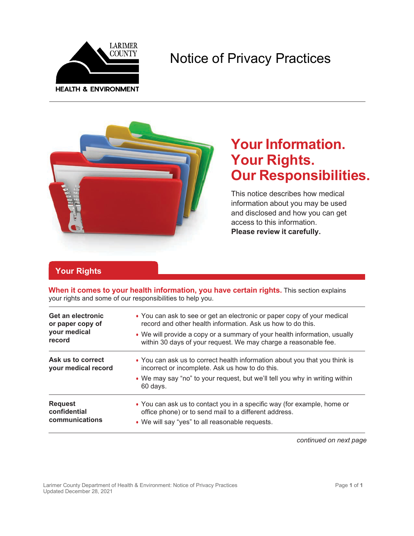

# Notice of Privacy Practices



# **Your Information. Your Rights. Our Responsibilities.**

This notice describes how medical information about you may be used and disclosed and how you can get access to this information. **Please review it carefully.**

## **Your Rights**

**When it comes to your health information, you have certain rights.** This section explains your rights and some of our responsibilities to help you.

| Get an electronic                        | • You can ask to see or get an electronic or paper copy of your medical                                                                                                                                                  |
|------------------------------------------|--------------------------------------------------------------------------------------------------------------------------------------------------------------------------------------------------------------------------|
| or paper copy of                         | record and other health information. Ask us how to do this.                                                                                                                                                              |
| your medical                             | • We will provide a copy or a summary of your health information, usually                                                                                                                                                |
| record                                   | within 30 days of your request. We may charge a reasonable fee.                                                                                                                                                          |
| Ask us to correct<br>your medical record | • You can ask us to correct health information about you that you think is<br>incorrect or incomplete. Ask us how to do this.<br>• We may say "no" to your request, but we'll tell you why in writing within<br>60 days. |
| <b>Request</b>                           | • You can ask us to contact you in a specific way (for example, home or                                                                                                                                                  |
| confidential                             | office phone) or to send mail to a different address.                                                                                                                                                                    |
| communications                           | • We will say "yes" to all reasonable requests.                                                                                                                                                                          |

*continued on next page*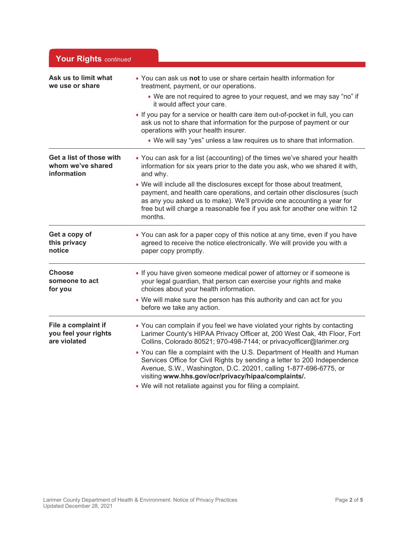| Your Rights continued                                               |                                                                                                                                                                                                                                                                                                                                                                                                                                                                                                                                                                                |  |
|---------------------------------------------------------------------|--------------------------------------------------------------------------------------------------------------------------------------------------------------------------------------------------------------------------------------------------------------------------------------------------------------------------------------------------------------------------------------------------------------------------------------------------------------------------------------------------------------------------------------------------------------------------------|--|
| Ask us to limit what<br>we use or share                             | • You can ask us not to use or share certain health information for<br>treatment, payment, or our operations.<br>• We are not required to agree to your request, and we may say "no" if<br>it would affect your care.                                                                                                                                                                                                                                                                                                                                                          |  |
|                                                                     | . If you pay for a service or health care item out-of-pocket in full, you can<br>ask us not to share that information for the purpose of payment or our<br>operations with your health insurer.<br>• We will say "yes" unless a law requires us to share that information.                                                                                                                                                                                                                                                                                                     |  |
| Get a list of those with<br>whom we've shared<br><b>information</b> | • You can ask for a list (accounting) of the times we've shared your health<br>information for six years prior to the date you ask, who we shared it with,<br>and why.                                                                                                                                                                                                                                                                                                                                                                                                         |  |
|                                                                     | . We will include all the disclosures except for those about treatment,<br>payment, and health care operations, and certain other disclosures (such<br>as any you asked us to make). We'll provide one accounting a year for<br>free but will charge a reasonable fee if you ask for another one within 12<br>months.                                                                                                                                                                                                                                                          |  |
| Get a copy of<br>this privacy<br>notice                             | • You can ask for a paper copy of this notice at any time, even if you have<br>agreed to receive the notice electronically. We will provide you with a<br>paper copy promptly.                                                                                                                                                                                                                                                                                                                                                                                                 |  |
| <b>Choose</b><br>someone to act<br>for you                          | • If you have given someone medical power of attorney or if someone is<br>your legal guardian, that person can exercise your rights and make<br>choices about your health information.                                                                                                                                                                                                                                                                                                                                                                                         |  |
|                                                                     | . We will make sure the person has this authority and can act for you<br>before we take any action.                                                                                                                                                                                                                                                                                                                                                                                                                                                                            |  |
| File a complaint if<br>you feel your rights<br>are violated         | • You can complain if you feel we have violated your rights by contacting<br>Larimer County's HIPAA Privacy Officer at, 200 West Oak, 4th Floor, Fort<br>Collins, Colorado 80521; 970-498-7144; or privacyofficer@larimer.org<br>• You can file a complaint with the U.S. Department of Health and Human<br>Services Office for Civil Rights by sending a letter to 200 Independence<br>Avenue, S.W., Washington, D.C. 20201, calling 1-877-696-6775, or<br>visiting www.hhs.gov/ocr/privacy/hipaa/complaints/.<br>• We will not retaliate against you for filing a complaint. |  |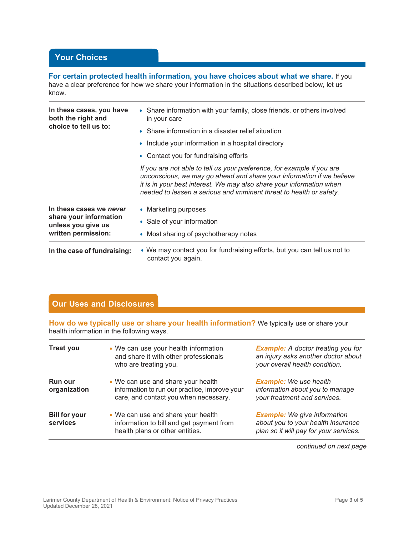**For certain protected health information, you have choices about what we share.** If you have a clear preference for how we share your information in the situations described below, let us know.

| In these cases, you have<br>both the right and<br>choice to tell us to: | • Share information with your family, close friends, or others involved<br>in your care                                                                                                                                                                                                        |  |  |
|-------------------------------------------------------------------------|------------------------------------------------------------------------------------------------------------------------------------------------------------------------------------------------------------------------------------------------------------------------------------------------|--|--|
|                                                                         | • Share information in a disaster relief situation                                                                                                                                                                                                                                             |  |  |
|                                                                         | • Include your information in a hospital directory                                                                                                                                                                                                                                             |  |  |
|                                                                         | • Contact you for fundraising efforts                                                                                                                                                                                                                                                          |  |  |
|                                                                         | If you are not able to tell us your preference, for example if you are<br>unconscious, we may go ahead and share your information if we believe<br>it is in your best interest. We may also share your information when<br>needed to lessen a serious and imminent threat to health or safety. |  |  |
| In these cases we never                                                 | • Marketing purposes                                                                                                                                                                                                                                                                           |  |  |
| share your information<br>unless you give us                            | • Sale of your information                                                                                                                                                                                                                                                                     |  |  |
| written permission:                                                     | • Most sharing of psychotherapy notes                                                                                                                                                                                                                                                          |  |  |
| In the case of fundraising:                                             | • We may contact you for fundraising efforts, but you can tell us not to<br>contact you again.                                                                                                                                                                                                 |  |  |

## **Our Uses and Disclosures**

**How do we typically use or share your health information?** We typically use or share your health information in the following ways.

| <b>Treat you</b>                 | • We can use your health information<br>and share it with other professionals<br>who are treating you.                       | <b>Example:</b> A doctor treating you for<br>an injury asks another doctor about<br>your overall health condition.  |
|----------------------------------|------------------------------------------------------------------------------------------------------------------------------|---------------------------------------------------------------------------------------------------------------------|
| <b>Run our</b><br>organization   | • We can use and share your health<br>information to run our practice, improve your<br>care, and contact you when necessary. | <b>Example:</b> We use health<br>information about you to manage<br>your treatment and services.                    |
| <b>Bill for your</b><br>services | • We can use and share your health<br>information to bill and get payment from<br>health plans or other entities.            | <b>Example:</b> We give information<br>about you to your health insurance<br>plan so it will pay for your services. |

*continued on next page*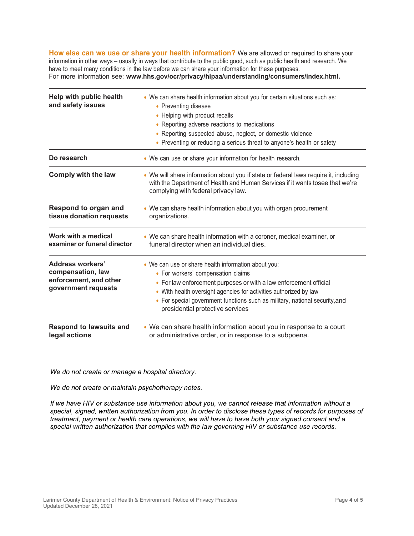**How else can we use or share your health information?** We are allowed or required to share your information in other ways – usually in ways that contribute to the public good, such as public health and research. We have to meet many conditions in the law before we can share your information for these purposes. For more information see: **[www.hhs.gov/ocr/privacy/hipaa/understanding/consumers/index.html](http://www.hhs.gov/ocr/privacy/hipaa/understanding/consumers/index.html).**

| Help with public health<br>and safety issues                                                  | • We can share health information about you for certain situations such as:<br>• Preventing disease<br>• Helping with product recalls<br>• Reporting adverse reactions to medications<br>• Reporting suspected abuse, neglect, or domestic violence<br>• Preventing or reducing a serious threat to anyone's health or safety                          |  |
|-----------------------------------------------------------------------------------------------|--------------------------------------------------------------------------------------------------------------------------------------------------------------------------------------------------------------------------------------------------------------------------------------------------------------------------------------------------------|--|
| Do research                                                                                   | • We can use or share your information for health research.                                                                                                                                                                                                                                                                                            |  |
| <b>Comply with the law</b>                                                                    | • We will share information about you if state or federal laws require it, including<br>with the Department of Health and Human Services if it wants tosee that we're<br>complying with federal privacy law.                                                                                                                                           |  |
| Respond to organ and<br>tissue donation requests                                              | • We can share health information about you with organ procurement<br>organizations.                                                                                                                                                                                                                                                                   |  |
| Work with a medical<br>examiner or funeral director                                           | • We can share health information with a coroner, medical examiner, or<br>funeral director when an individual dies.                                                                                                                                                                                                                                    |  |
| <b>Address workers'</b><br>compensation, law<br>enforcement, and other<br>government requests | • We can use or share health information about you:<br>• For workers' compensation claims<br>• For law enforcement purposes or with a law enforcement official<br>• With health oversight agencies for activities authorized by law<br>• For special government functions such as military, national security, and<br>presidential protective services |  |
| <b>Respond to lawsuits and</b><br>legal actions                                               | • We can share health information about you in response to a court<br>or administrative order, or in response to a subpoena.                                                                                                                                                                                                                           |  |

*We do not create or manage a hospital directory.*

*We do not create or maintain psychotherapy notes.*

*If we have HIV or substance use information about you, we cannot release that information without a* special, signed, written authorization from you. In order to disclose these types of records for purposes of *treatment, payment or health care operations, we will have to have both your signed consent and a special written authorization that complies with the law governing HIV or substance use records.*